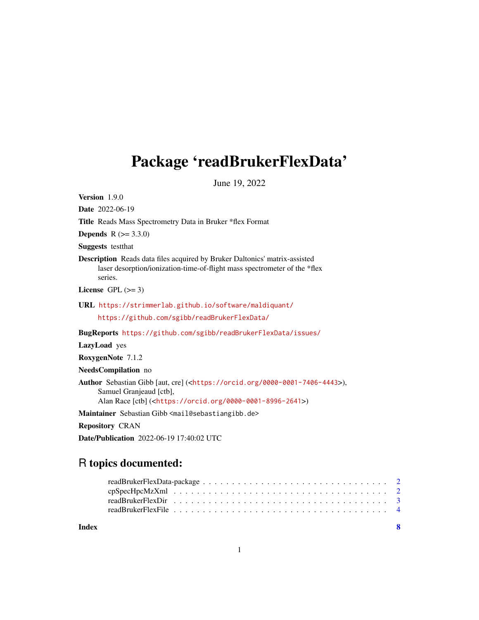# <span id="page-0-0"></span>Package 'readBrukerFlexData'

June 19, 2022

Version 1.9.0

Date 2022-06-19

Title Reads Mass Spectrometry Data in Bruker \*flex Format

**Depends**  $R (= 3.3.0)$ 

Suggests testthat

Description Reads data files acquired by Bruker Daltonics' matrix-assisted laser desorption/ionization-time-of-flight mass spectrometer of the \*flex series.

License GPL  $(>= 3)$ 

URL <https://strimmerlab.github.io/software/maldiquant/>

<https://github.com/sgibb/readBrukerFlexData/>

BugReports <https://github.com/sgibb/readBrukerFlexData/issues/>

LazyLoad yes

RoxygenNote 7.1.2

NeedsCompilation no

Author Sebastian Gibb [aut, cre] (<<https://orcid.org/0000-0001-7406-4443>>), Samuel Granjeaud [ctb], Alan Race [ctb] (<<https://orcid.org/0000-0001-8996-2641>>)

Maintainer Sebastian Gibb <mail@sebastiangibb.de>

Repository CRAN

Date/Publication 2022-06-19 17:40:02 UTC

# R topics documented:

| Index |  |  |  |  |  |  |  |  |  |  |  |  | - 8 |
|-------|--|--|--|--|--|--|--|--|--|--|--|--|-----|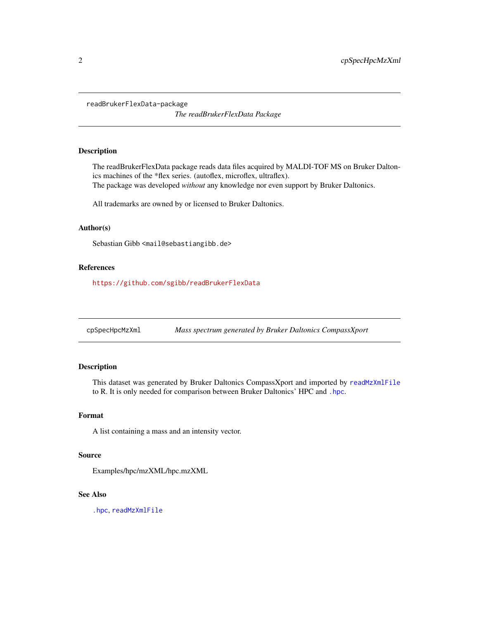<span id="page-1-0"></span>readBrukerFlexData-package

*The readBrukerFlexData Package*

#### Description

The readBrukerFlexData package reads data files acquired by MALDI-TOF MS on Bruker Daltonics machines of the \*flex series. (autoflex, microflex, ultraflex). The package was developed *without* any knowledge nor even support by Bruker Daltonics.

All trademarks are owned by or licensed to Bruker Daltonics.

#### Author(s)

Sebastian Gibb <mail@sebastiangibb.de>

#### References

<https://github.com/sgibb/readBrukerFlexData>

cpSpecHpcMzXml *Mass spectrum generated by Bruker Daltonics CompassXport*

#### Description

This dataset was generated by Bruker Daltonics CompassXport and imported by [readMzXmlFile](#page-0-0) to R. It is only needed for comparison between Bruker Daltonics' HPC and [.hpc](#page-0-0).

#### Format

A list containing a mass and an intensity vector.

#### Source

Examples/hpc/mzXML/hpc.mzXML

#### See Also

[.hpc](#page-0-0), [readMzXmlFile](#page-0-0)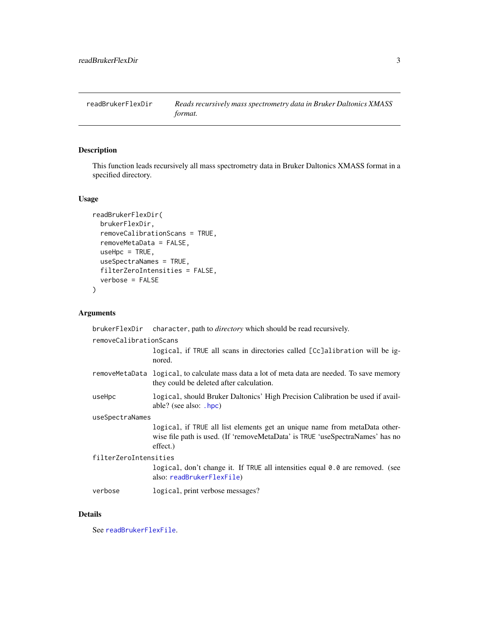<span id="page-2-1"></span><span id="page-2-0"></span>readBrukerFlexDir *Reads recursively mass spectrometry data in Bruker Daltonics XMASS format.*

#### Description

This function leads recursively all mass spectrometry data in Bruker Daltonics XMASS format in a specified directory.

#### Usage

```
readBrukerFlexDir(
 brukerFlexDir,
  removeCalibrationScans = TRUE,
 removeMetaData = FALSE,
 useHpc = TRUE,useSpectraNames = TRUE,
  filterZeroIntensities = FALSE,
  verbose = FALSE
)
```
#### Arguments

|                        | brukerFlexDir character, path to <i>directory</i> which should be read recursively.                                                                                     |  |  |  |  |
|------------------------|-------------------------------------------------------------------------------------------------------------------------------------------------------------------------|--|--|--|--|
| removeCalibrationScans | logical, if TRUE all scans in directories called [Cc]alibration will be ig-<br>nored.                                                                                   |  |  |  |  |
|                        | removeMetaData logical, to calculate mass data a lot of meta data are needed. To save memory<br>they could be deleted after calculation.                                |  |  |  |  |
| useHpc                 | logical, should Bruker Daltonics' High Precision Calibration be used if avail-<br>able? (see also: .hpc)                                                                |  |  |  |  |
| useSpectraNames        |                                                                                                                                                                         |  |  |  |  |
|                        | logical, if TRUE all list elements get an unique name from metaData other-<br>wise file path is used. (If 'removeMetaData' is TRUE 'useSpectraNames' has no<br>effect.) |  |  |  |  |
| filterZeroIntensities  |                                                                                                                                                                         |  |  |  |  |
|                        | logical, don't change it. If TRUE all intensities equal 0.0 are removed. (see<br>also: readBrukerFlexFile)                                                              |  |  |  |  |
| verbose                | logical, print verbose messages?                                                                                                                                        |  |  |  |  |
|                        |                                                                                                                                                                         |  |  |  |  |

### Details

See [readBrukerFlexFile](#page-3-1).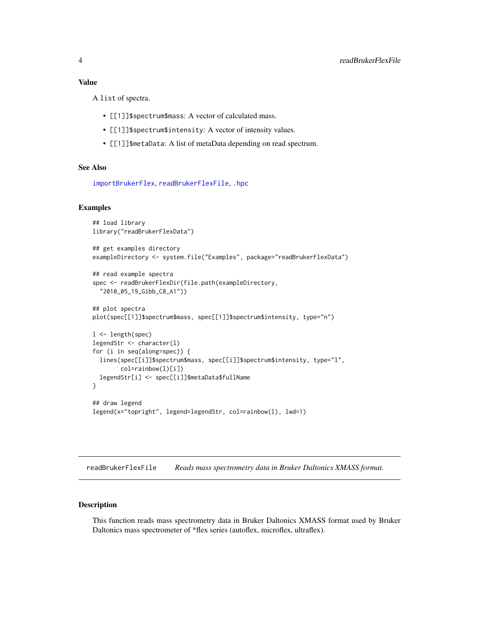<span id="page-3-0"></span>A list of spectra.

- [[1]]\$spectrum\$mass: A vector of calculated mass.
- [[1]]\$spectrum\$intensity: A vector of intensity values.
- [[1]]\$metaData: A list of metaData depending on read spectrum.

#### See Also

```
importBrukerFlex, readBrukerFlexFile, .hpc
```
# Examples

```
## load library
library("readBrukerFlexData")
## get examples directory
exampleDirectory <- system.file("Examples", package="readBrukerFlexData")
## read example spectra
spec <- readBrukerFlexDir(file.path(exampleDirectory,
  "2010_05_19_Gibb_C8_A1"))
## plot spectra
plot(spec[[1]]$spectrum$mass, spec[[1]]$spectrum$intensity, type="n")
l <- length(spec)
legendStr <- character(l)
for (i in seq(along=spec)) {
 lines(spec[[i]]$spectrum$mass, spec[[i]]$spectrum$intensity, type="l",
       col=rainbow(l)[i])
 legendStr[i] <- spec[[i]]$metaData$fullName
}
## draw legend
legend(x="topright", legend=legendStr, col=rainbow(l), lwd=1)
```
<span id="page-3-1"></span>readBrukerFlexFile *Reads mass spectrometry data in Bruker Daltonics XMASS format.*

#### Description

This function reads mass spectrometry data in Bruker Daltonics XMASS format used by Bruker Daltonics mass spectrometer of \*flex series (autoflex, microflex, ultraflex).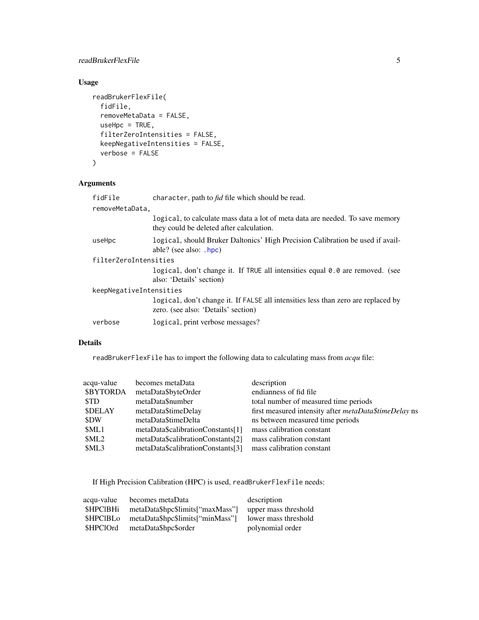# <span id="page-4-0"></span>readBrukerFlexFile 5

# Usage

```
readBrukerFlexFile(
 fidFile,
  removeMetaData = FALSE,
 useHpc = TRUE,filterZeroIntensities = FALSE,
 keepNegativeIntensities = FALSE,
 verbose = FALSE
\mathcal{L}
```
# Arguments

| fidFile                 | character, path to <i>fid</i> file which should be read.                                                                  |
|-------------------------|---------------------------------------------------------------------------------------------------------------------------|
| removeMetaData,         |                                                                                                                           |
|                         | logical, to calculate mass data a lot of meta data are needed. To save memory<br>they could be deleted after calculation. |
| useHpc                  | logical, should Bruker Daltonics' High Precision Calibration be used if avail-<br>able? (see also: $.hpc$ )               |
| filterZeroIntensities   |                                                                                                                           |
|                         | logical, don't change it. If TRUE all intensities equal 0.0 are removed. (see<br>also: 'Details' section)                 |
| keepNegativeIntensities |                                                                                                                           |
|                         | logical, don't change it. If FALSE all intensities less than zero are replaced by<br>zero. (see also: 'Details' section)  |
| verbose                 | logical, print verbose messages?                                                                                          |

#### Details

readBrukerFlexFile has to import the following data to calculating mass from *acqu* file:

| acqu-value       | becomes metaData                  | description                                           |
|------------------|-----------------------------------|-------------------------------------------------------|
| <b>\$BYTORDA</b> | metaData\$byteOrder               | endianness of fid file                                |
| \$TD             | metaData\$number                  | total number of measured time periods                 |
| <b>\$DELAY</b>   | metaData\$timeDelay               | first measured intensity after metaData\$timeDelay ns |
| \$DW             | metaData\$timeDelta               | ns between measured time periods                      |
| \$ML1            | metaData\$calibrationConstants[1] | mass calibration constant                             |
| \$ML2            | metaData\$calibrationConstants[2] | mass calibration constant                             |
| \$ML3            | metaData\$calibrationConstants[3] | mass calibration constant                             |
|                  |                                   |                                                       |

If High Precision Calibration (HPC) is used, readBrukerFlexFile needs:

| acqu-value      | becomes metaData                 | description          |
|-----------------|----------------------------------|----------------------|
| <b>SHPCIBHi</b> | metaData\$hpc\$limits["maxMass"] | upper mass threshold |
| <b>SHPCIBLO</b> | metaData\$hpc\$limits["minMass"] | lower mass threshold |
| \$HPClOrd       | metaData\$hpc\$order             | polynomial order     |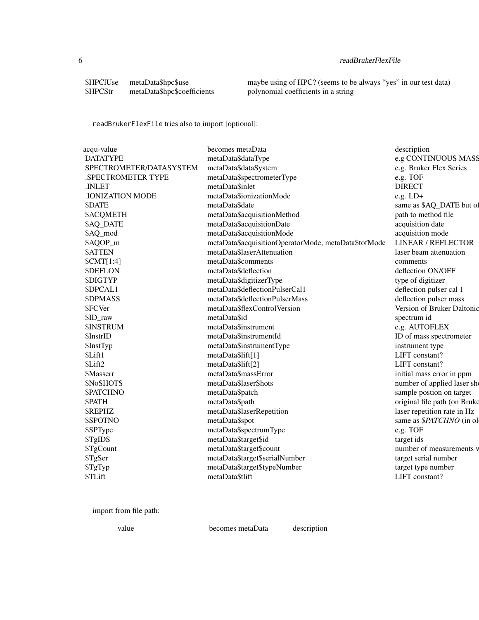# 6 readBrukerFlexFile

| <b>\$HPCIUse</b> | metaData\$hpc\$use          |
|------------------|-----------------------------|
| \$HPCStr         | metaData\$hpc\$coefficients |

maybe using of HPC? (seems to be always "yes" in our test data) polynomial coefficients in a string

readBrukerFlexFile tries also to import [optional]:

| acqu-value              | becomes metaData                                     | description                  |
|-------------------------|------------------------------------------------------|------------------------------|
| <b>DATATYPE</b>         | metaData\$dataType                                   | e.g CONTINUOUS MASS          |
| SPECTROMETER/DATASYSTEM | metaData\$dataSystem                                 | e.g. Bruker Flex Series      |
| .SPECTROMETER TYPE      | metaData\$spectrometerType                           | e.g. TOF                     |
| .INLET                  | metaData\$inlet                                      | <b>DIRECT</b>                |
| <b>.IONIZATION MODE</b> | metaData\$ionizationMode                             | $e.g. LD+$                   |
| <b>SDATE</b>            | metaData\$date                                       | same as \$AQ_DATE but of     |
| <b>\$ACQMETH</b>        | metaData\$acquisitionMethod                          | path to method file          |
| \$AQ_DATE               | metaData\$acquisitionDate                            | acquisition date             |
| \$AQ_mod                | metaData\$acquisitionMode                            | acquisition mode             |
| \$AQOP_m                | metaData\$acquisitionOperatorMode, metaData\$tofMode | <b>LINEAR / REFLECTOR</b>    |
| <b>\$ATTEN</b>          | metaData\$laserAttenuation                           | laser beam attenuation       |
| SCMT[1:4]               | metaData\$comments                                   | comments                     |
| <b>\$DEFLON</b>         | metaData\$deflection                                 | deflection ON/OFF            |
| <b>\$DIGTYP</b>         | metaData\$digitizerType                              | type of digitizer            |
| \$DPCAL1                | metaData\$deflectionPulserCal1                       | deflection pulser cal 1      |
| <b>\$DPMASS</b>         | metaData\$deflectionPulserMass                       | deflection pulser mass       |
| \$FCVer                 | metaData\$flexControlVersion                         | Version of Bruker Daltonic   |
| \$ID_raw                | metaData\$id                                         | spectrum id                  |
| <b>\$INSTRUM</b>        | metaData\$instrument                                 | e.g. AUTOFLEX                |
| \$InstrID               | metaData\$instrumentId                               | ID of mass spectrometer      |
| \$InstTyp               | metaData\$instrumentType                             | instrument type              |
| \$Lift1                 | metaData\$lift[1]                                    | LIFT constant?               |
| \$Lift2                 | metaData\$lift[2]                                    | LIFT constant?               |
| \$Masserr               | metaData\$massError                                  | initial mass error in ppm    |
| \$NoSHOTS               | metaData\$laserShots                                 | number of applied laser she  |
| <b>\$PATCHNO</b>        | metaData\$patch                                      | sample postion on target     |
| <b>SPATH</b>            | metaData\$path                                       | original file path (on Bruke |
| <b><i>SREPHZ</i></b>    | metaData\$laserRepetition                            | laser repetition rate in Hz  |
| \$SPOTNO                | metaData\$spot                                       | same as \$PATCHNO (in ol     |
| \$SPType                | metaData\$spectrumType                               | e.g. TOF                     |
| \$TgIDS                 | metaData\$target\$id                                 | target ids                   |
| \$TgCount               | metaData\$target\$count                              | number of measurements v     |
| \$TgSer                 | metaData\$target\$serialNumber                       | target serial number         |
| \$TgTyp                 | metaData\$target\$typeNumber                         | target type number           |
| \$TLift                 | metaData\$tlift                                      | LIFT constant?               |
|                         |                                                      |                              |

import from file path:

value becomes metaData description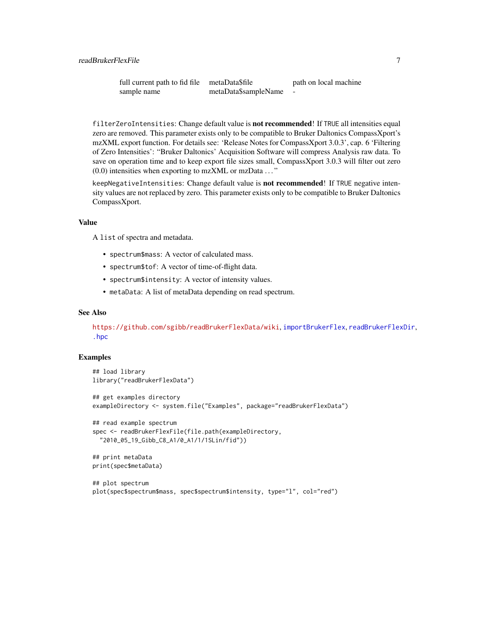<span id="page-6-0"></span>

| full current path to fid file | metaData\$file       | path on local machine |
|-------------------------------|----------------------|-----------------------|
| sample name                   | metaData\$sampleName |                       |

filterZeroIntensities: Change default value is not recommended! If TRUE all intensities equal zero are removed. This parameter exists only to be compatible to Bruker Daltonics CompassXport's mzXML export function. For details see: 'Release Notes for CompassXport 3.0.3', cap. 6 'Filtering of Zero Intensities': "Bruker Daltonics' Acquisition Software will compress Analysis raw data. To save on operation time and to keep export file sizes small, CompassXport 3.0.3 will filter out zero  $(0.0)$  intensities when exporting to mzXML or mzData  $\dots$ "

keepNegativeIntensities: Change default value is not recommended! If TRUE negative intensity values are not replaced by zero. This parameter exists only to be compatible to Bruker Daltonics CompassXport.

#### Value

A list of spectra and metadata.

- spectrum\$mass: A vector of calculated mass.
- spectrum\$tof: A vector of time-of-flight data.
- spectrum\$intensity: A vector of intensity values.
- metaData: A list of metaData depending on read spectrum.

#### See Also

<https://github.com/sgibb/readBrukerFlexData/wiki>, [importBrukerFlex](#page-0-0), [readBrukerFlexDir](#page-2-1), [.hpc](#page-0-0)

#### Examples

```
## load library
library("readBrukerFlexData")
## get examples directory
exampleDirectory <- system.file("Examples", package="readBrukerFlexData")
## read example spectrum
spec <- readBrukerFlexFile(file.path(exampleDirectory,
  "2010_05_19_Gibb_C8_A1/0_A1/1/1SLin/fid"))
## print metaData
print(spec$metaData)
## plot spectrum
```

```
plot(spec$spectrum$mass, spec$spectrum$intensity, type="l", col="red")
```